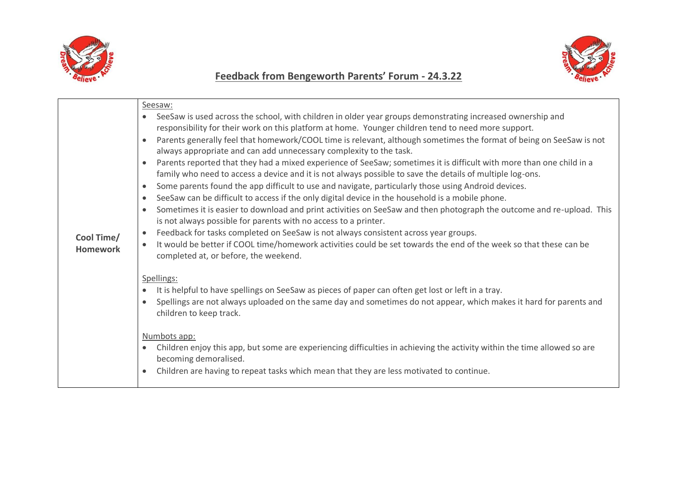

## **Feedback from Bengeworth Parents' Forum - 24.3.22**



|                               | Seesaw:                                                                                                                                                                                                                                                                                                                                                                                                                                                                                                                                                                                                                                                                                                                                                                                                                                                                                                                                                                                                                                                                                                                                                                                                                                                                                                                                                                                                                                                                                                                                                                                                                                                                                                                                                                                                                                                                                                                             |
|-------------------------------|-------------------------------------------------------------------------------------------------------------------------------------------------------------------------------------------------------------------------------------------------------------------------------------------------------------------------------------------------------------------------------------------------------------------------------------------------------------------------------------------------------------------------------------------------------------------------------------------------------------------------------------------------------------------------------------------------------------------------------------------------------------------------------------------------------------------------------------------------------------------------------------------------------------------------------------------------------------------------------------------------------------------------------------------------------------------------------------------------------------------------------------------------------------------------------------------------------------------------------------------------------------------------------------------------------------------------------------------------------------------------------------------------------------------------------------------------------------------------------------------------------------------------------------------------------------------------------------------------------------------------------------------------------------------------------------------------------------------------------------------------------------------------------------------------------------------------------------------------------------------------------------------------------------------------------------|
| Cool Time/<br><b>Homework</b> | SeeSaw is used across the school, with children in older year groups demonstrating increased ownership and<br>responsibility for their work on this platform at home. Younger children tend to need more support.<br>Parents generally feel that homework/COOL time is relevant, although sometimes the format of being on SeeSaw is not<br>always appropriate and can add unnecessary complexity to the task.<br>Parents reported that they had a mixed experience of SeeSaw; sometimes it is difficult with more than one child in a<br>family who need to access a device and it is not always possible to save the details of multiple log-ons.<br>Some parents found the app difficult to use and navigate, particularly those using Android devices.<br>$\bullet$<br>SeeSaw can be difficult to access if the only digital device in the household is a mobile phone.<br>$\bullet$<br>Sometimes it is easier to download and print activities on SeeSaw and then photograph the outcome and re-upload. This<br>$\bullet$<br>is not always possible for parents with no access to a printer.<br>Feedback for tasks completed on SeeSaw is not always consistent across year groups.<br>$\bullet$<br>It would be better if COOL time/homework activities could be set towards the end of the week so that these can be<br>completed at, or before, the weekend.<br>Spellings:<br>It is helpful to have spellings on SeeSaw as pieces of paper can often get lost or left in a tray.<br>Spellings are not always uploaded on the same day and sometimes do not appear, which makes it hard for parents and<br>children to keep track.<br>Numbots app:<br>Children enjoy this app, but some are experiencing difficulties in achieving the activity within the time allowed so are<br>$\bullet$<br>becoming demoralised.<br>Children are having to repeat tasks which mean that they are less motivated to continue.<br>$\bullet$ |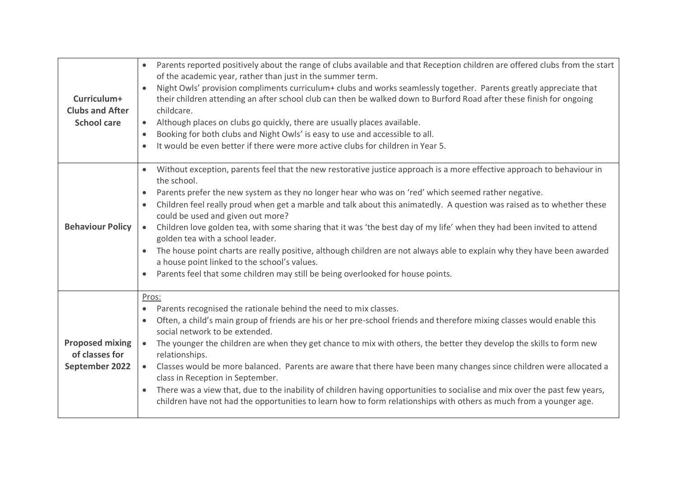| Curriculum+<br><b>Clubs and After</b><br><b>School care</b> | Parents reported positively about the range of clubs available and that Reception children are offered clubs from the start<br>$\bullet$<br>of the academic year, rather than just in the summer term.<br>Night Owls' provision compliments curriculum+ clubs and works seamlessly together. Parents greatly appreciate that<br>$\bullet$<br>their children attending an after school club can then be walked down to Burford Road after these finish for ongoing<br>childcare.<br>Although places on clubs go quickly, there are usually places available.<br>$\bullet$<br>Booking for both clubs and Night Owls' is easy to use and accessible to all.<br>$\bullet$<br>It would be even better if there were more active clubs for children in Year 5.<br>$\bullet$                                                                                                                                                 |
|-------------------------------------------------------------|-----------------------------------------------------------------------------------------------------------------------------------------------------------------------------------------------------------------------------------------------------------------------------------------------------------------------------------------------------------------------------------------------------------------------------------------------------------------------------------------------------------------------------------------------------------------------------------------------------------------------------------------------------------------------------------------------------------------------------------------------------------------------------------------------------------------------------------------------------------------------------------------------------------------------|
| <b>Behaviour Policy</b>                                     | Without exception, parents feel that the new restorative justice approach is a more effective approach to behaviour in<br>$\bullet$<br>the school.<br>Parents prefer the new system as they no longer hear who was on 'red' which seemed rather negative.<br>$\bullet$<br>Children feel really proud when get a marble and talk about this animatedly. A question was raised as to whether these<br>$\bullet$<br>could be used and given out more?<br>Children love golden tea, with some sharing that it was 'the best day of my life' when they had been invited to attend<br>$\bullet$<br>golden tea with a school leader.<br>The house point charts are really positive, although children are not always able to explain why they have been awarded<br>$\bullet$<br>a house point linked to the school's values.<br>Parents feel that some children may still be being overlooked for house points.<br>$\bullet$ |
| <b>Proposed mixing</b><br>of classes for<br>September 2022  | Pros:<br>Parents recognised the rationale behind the need to mix classes.<br>$\bullet$<br>Often, a child's main group of friends are his or her pre-school friends and therefore mixing classes would enable this<br>$\bullet$<br>social network to be extended.<br>The younger the children are when they get chance to mix with others, the better they develop the skills to form new<br>$\bullet$<br>relationships.<br>Classes would be more balanced. Parents are aware that there have been many changes since children were allocated a<br>$\bullet$<br>class in Reception in September.<br>There was a view that, due to the inability of children having opportunities to socialise and mix over the past few years,<br>$\bullet$<br>children have not had the opportunities to learn how to form relationships with others as much from a younger age.                                                      |